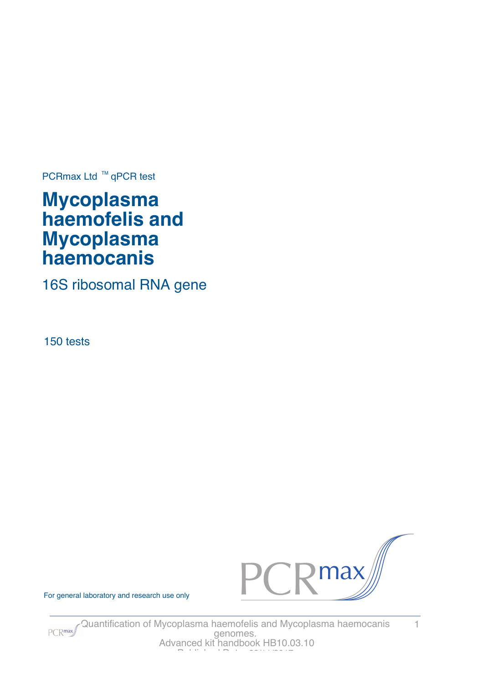PCRmax Ltd  $™$  qPCR test

# **Mycoplasma haemofelis and Mycoplasma haemocanis**

16S ribosomal RNA gene

150 tests



For general laboratory and research use only



Quantification of Mycoplasma haemofelis and Mycoplasma haemocanis 1 genomes. Advanced kit handbook HB10.03.10 Published Date: 28/11/2017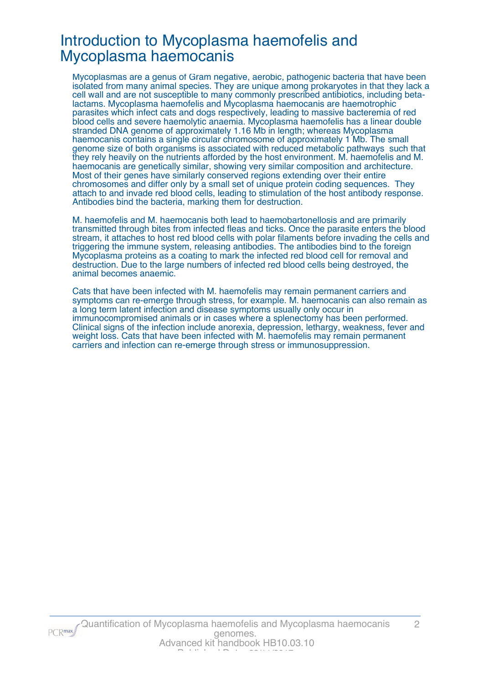### Introduction to Mycoplasma haemofelis and Mycoplasma haemocanis

Mycoplasmas are a genus of Gram negative, aerobic, pathogenic bacteria that have been isolated from many animal species. They are unique among prokaryotes in that they lack a cell wall and are not susceptible to many commonly prescribed antibiotics, including betalactams. Mycoplasma haemofelis and Mycoplasma haemocanis are haemotrophic parasites which infect cats and dogs respectively, leading to massive bacteremia of red blood cells and severe haemolytic anaemia. Mycoplasma haemofelis has a linear double stranded DNA genome of approximately 1.16 Mb in length; whereas Mycoplasma haemocanis contains a single circular chromosome of approximately 1 Mb. The small genome size of both organisms is associated with reduced metabolic pathways such that they rely heavily on the nutrients afforded by the host environment. M. haemofelis and M. haemocanis are genetically similar, showing very similar composition and architecture. Most of their genes have similarly conserved regions extending over their entire chromosomes and differ only by a small set of unique protein coding sequences. They attach to and invade red blood cells, leading to stimulation of the host antibody response. Antibodies bind the bacteria, marking them for destruction.

M. haemofelis and M. haemocanis both lead to haemobartonellosis and are primarily transmitted through bites from infected fleas and ticks. Once the parasite enters the blood stream, it attaches to host red blood cells with polar filaments before invading the cells and triggering the immune system, releasing antibodies. The antibodies bind to the foreign Mycoplasma proteins as a coating to mark the infected red blood cell for removal and destruction. Due to the large numbers of infected red blood cells being destroyed, the animal becomes anaemic.

Cats that have been infected with M. haemofelis may remain permanent carriers and symptoms can re-emerge through stress, for example. M. haemocanis can also remain as a long term latent infection and disease symptoms usually only occur in immunocompromised animals or in cases where a splenectomy has been performed. Clinical signs of the infection include anorexia, depression, lethargy, weakness, fever and weight loss. Cats that have been infected with M. haemofelis may remain permanent carriers and infection can re-emerge through stress or immunosuppression.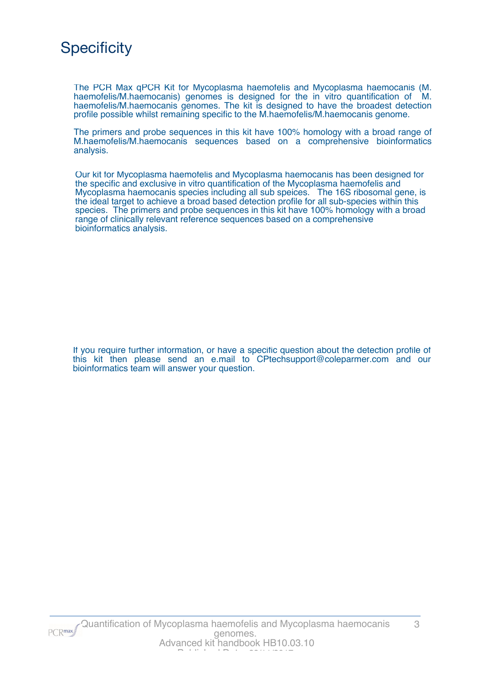

The PCR Max qPCR Kit for Mycoplasma haemofelis and Mycoplasma haemocanis (M. haemofelis/M.haemocanis) genomes is designed for the in vitro quantification of M. haemofelis/M.haemocanis genomes. The kit is designed to have the broadest detection profile possible whilst remaining specific to the M.haemofelis/M.haemocanis genome.

The primers and probe sequences in this kit have 100% homology with a broad range of M.haemofelis/M.haemocanis sequences based on a comprehensive bioinformatics analysis.

Our kit for Mycoplasma haemofelis and Mycoplasma haemocanis has been designed for the specific and exclusive in vitro quantification of the Mycoplasma haemofelis and Mycoplasma haemocanis species including all sub speices. The 16S ribosomal gene, is the ideal target to achieve a broad based detection profile for all sub-species within this species. The primers and probe sequences in this kit have 100% homology with a broad range of clinically relevant reference sequences based on a comprehensive bioinformatics analysis.

If you require further information, or have a specific question about the detection profile of this kit then please send an e.mail to CPtechsupport@coleparmer.com and our bioinformatics team will answer your question.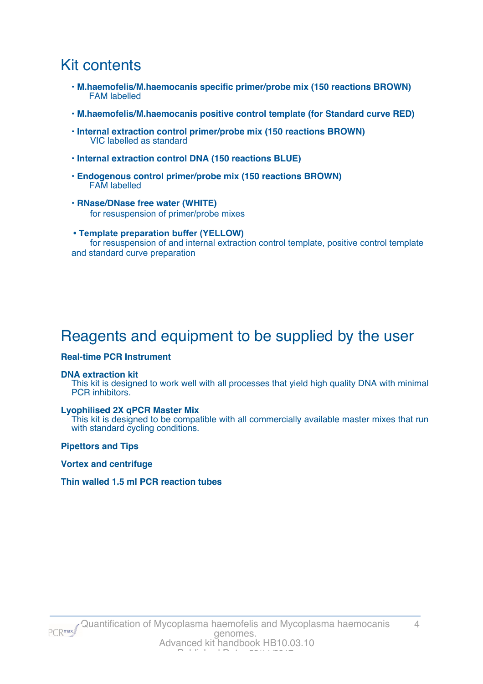## Kit contents

- **M.haemofelis/M.haemocanis specific primer/probe mix (150 reactions BROWN)** FAM labelled
- **M.haemofelis/M.haemocanis positive control template (for Standard curve RED)**
- **Internal extraction control primer/probe mix (150 reactions BROWN)** VIC labelled as standard
- **Internal extraction control DNA (150 reactions BLUE)**
- **Endogenous control primer/probe mix (150 reactions BROWN)** FAM labelled
- **RNase/DNase free water (WHITE)** for resuspension of primer/probe mixes
- **Template preparation buffer (YELLOW)** for resuspension of and internal extraction control template, positive control template and standard curve preparation

## Reagents and equipment to be supplied by the user

#### **Real-time PCR Instrument**

#### **DNA extraction kit**

This kit is designed to work well with all processes that yield high quality DNA with minimal PCR inhibitors.

#### **Lyophilised 2X qPCR Master Mix**

This kit is designed to be compatible with all commercially available master mixes that run with standard cycling conditions.

**Pipettors and Tips**

**Vortex and centrifuge**

#### **Thin walled 1.5 ml PCR reaction tubes**

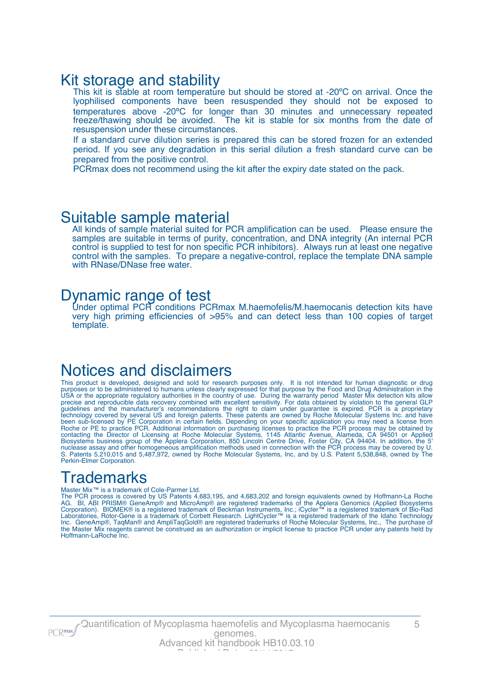### Kit storage and stability

This kit is stable at room temperature but should be stored at -20°C on arrival. Once the lyophilised components have been resuspended they should not be exposed to temperatures above -20ºC for longer than 30 minutes and unnecessary repeated freeze/thawing should be avoided. The kit is stable for six months from the date of resuspension under these circumstances.

If a standard curve dilution series is prepared this can be stored frozen for an extended period. If you see any degradation in this serial dilution a fresh standard curve can be prepared from the positive control.

PCRmax does not recommend using the kit after the expiry date stated on the pack.

### Suitable sample material

All kinds of sample material suited for PCR amplification can be used. Please ensure the samples are suitable in terms of purity, concentration, and DNA integrity (An internal PCR control is supplied to test for non specific PCR inhibitors). Always run at least one negative control with the samples. To prepare a negative-control, replace the template DNA sample with RNase/DNase free water.

### Dynamic range of test

Under optimal PCR conditions PCRmax M.haemofelis/M.haemocanis detection kits have very high priming efficiencies of >95% and can detect less than 100 copies of target template.

### Notices and disclaimers

This product is developed, designed and sold for research purposes only. It is not intended for human diagnostic or drug purposes or to be administered to humans unless clearly expressed for that purpose by the Food and Drug Administration in the USA or the appropriate regulatory authorities in the country of use. During the warranty period Master Mix detection kits allow precise and reproducible data recovery combined with excellent sensitivity. For data obtained by violation to the general GLP guidelines and the manufacturer's recommendations the right to claim under guarantee is expired. PCR is a proprietary technology covered by several US and foreign patents. These patents are owned by Roche Molecular Systems Inc. and have been sub-licensed by PE Corporation in certain fields. Depending on your specific application you may need a license from Roche or PE to practice PCR. Additional information on purchasing licenses to practice the PCR process may be obtained by contacting the Director of Licensing at Roche Molecular Systems, 1145 Atlantic Avenue, Alameda, CA 94501 or Applied Biosystems business group of the Applera Corporation, 850 Lincoln Centre Drive, Foster City, CA 94404. In addition, the 5' nuclease assay and other homogeneous amplification methods used in connection with the PCR process may be covered by U. S. Patents 5,210,015 and 5,487,972, owned by Roche Molecular Systems, Inc, and by U.S. Patent 5,538,848, owned by The Perkin-Elmer Corporation.

### **Trademarks**

#### Master Mix™ is a trademark of Cole-Parmer Ltd.

The PCR process is covered by US Patents 4,683,195, and 4,683,202 and foreign equivalents owned by Hoffmann-La Roche AG. BI, ABI PRISM® GeneAmp® and MicroAmp® are registered trademarks of the Applera Genomics (Applied Biosystems Corporation). BIOMEK® is a registered trademark of Beckman Instruments, Inc.; iCycler™ is a registered trademark of Bio-Rad Laboratories, Rotor-Gene is a trademark of Corbett Research. LightCycler™ is a registered trademark of the Idaho Technology Inc. GeneAmp®, TaqMan® and AmpliTaqGold® are registered trademarks of Roche Molecular Systems, Inc., The purchase of the Master Mix reagents cannot be construed as an authorization or implicit license to practice PCR under any patents held by Hoffmann-LaRoche Inc.

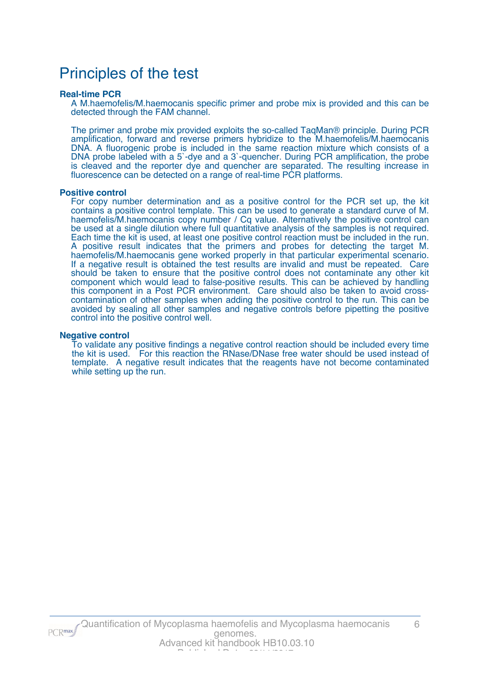## Principles of the test

#### **Real-time PCR**

A M.haemofelis/M.haemocanis specific primer and probe mix is provided and this can be detected through the FAM channel.

The primer and probe mix provided exploits the so-called TaqMan® principle. During PCR amplification, forward and reverse primers hybridize to the M.haemofelis/M.haemocanis DNA. A fluorogenic probe is included in the same reaction mixture which consists of a DNA probe labeled with a 5`-dye and a 3`-quencher. During PCR amplification, the probe is cleaved and the reporter dye and quencher are separated. The resulting increase in fluorescence can be detected on a range of real-time PCR platforms.

#### **Positive control**

For copy number determination and as a positive control for the PCR set up, the kit contains a positive control template. This can be used to generate a standard curve of M. haemofelis/M.haemocanis copy number / Cq value. Alternatively the positive control can be used at a single dilution where full quantitative analysis of the samples is not required. Each time the kit is used, at least one positive control reaction must be included in the run. A positive result indicates that the primers and probes for detecting the target M. haemofelis/M.haemocanis gene worked properly in that particular experimental scenario. If a negative result is obtained the test results are invalid and must be repeated. Care should be taken to ensure that the positive control does not contaminate any other kit component which would lead to false-positive results. This can be achieved by handling this component in a Post PCR environment. Care should also be taken to avoid crosscontamination of other samples when adding the positive control to the run. This can be avoided by sealing all other samples and negative controls before pipetting the positive control into the positive control well.

#### **Negative control**

To validate any positive findings a negative control reaction should be included every time the kit is used. For this reaction the RNase/DNase free water should be used instead of template. A negative result indicates that the reagents have not become contaminated while setting up the run.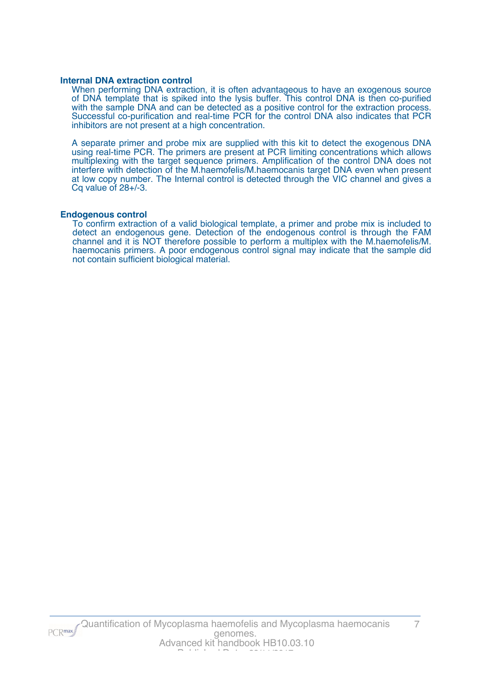#### **Internal DNA extraction control**

When performing DNA extraction, it is often advantageous to have an exogenous source of DNA template that is spiked into the lysis buffer. This control DNA is then co-purified with the sample DNA and can be detected as a positive control for the extraction process. Successful co-purification and real-time PCR for the control DNA also indicates that PCR inhibitors are not present at a high concentration.

A separate primer and probe mix are supplied with this kit to detect the exogenous DNA using real-time PCR. The primers are present at PCR limiting concentrations which allows multiplexing with the target sequence primers. Amplification of the control DNA does not interfere with detection of the M.haemofelis/M.haemocanis target DNA even when present at low copy number. The Internal control is detected through the VIC channel and gives a Cq value of 28+/-3.

#### **Endogenous control**

To confirm extraction of a valid biological template, a primer and probe mix is included to detect an endogenous gene. Detection of the endogenous control is through the FAM channel and it is NOT therefore possible to perform a multiplex with the M.haemofelis/M. haemocanis primers. A poor endogenous control signal may indicate that the sample did not contain sufficient biological material.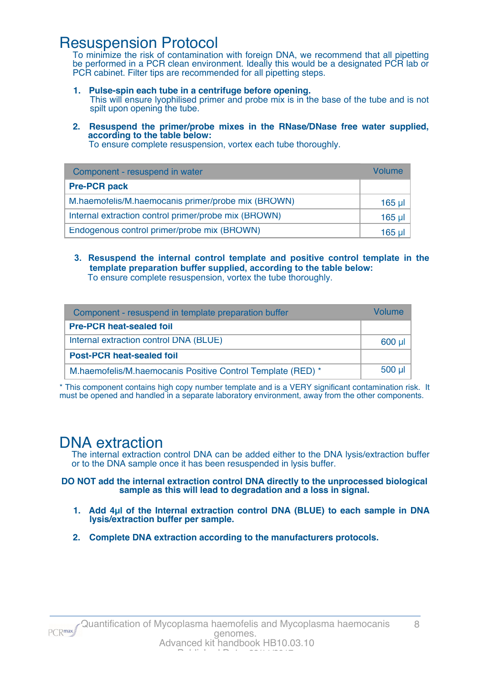### Resuspension Protocol

To minimize the risk of contamination with foreign DNA, we recommend that all pipetting be performed in a PCR clean environment. Ideally this would be a designated PCR lab or PCR cabinet. Filter tips are recommended for all pipetting steps.

- **1. Pulse-spin each tube in a centrifuge before opening.** This will ensure lyophilised primer and probe mix is in the base of the tube and is not spilt upon opening the tube.
- **2. Resuspend the primer/probe mixes in the RNase/DNase free water supplied, according to the table below:**

To ensure complete resuspension, vortex each tube thoroughly.

| Component - resuspend in water                       | Volume   |
|------------------------------------------------------|----------|
| <b>Pre-PCR pack</b>                                  |          |
| M.haemofelis/M.haemocanis primer/probe mix (BROWN)   | $165$ µl |
| Internal extraction control primer/probe mix (BROWN) | $165$ µl |
| Endogenous control primer/probe mix (BROWN)          | $165$ µl |

**3. Resuspend the internal control template and positive control template in the template preparation buffer supplied, according to the table below:** To ensure complete resuspension, vortex the tube thoroughly.

| Component - resuspend in template preparation buffer        | Volume   |
|-------------------------------------------------------------|----------|
| <b>Pre-PCR heat-sealed foil</b>                             |          |
| Internal extraction control DNA (BLUE)                      | 600 µl   |
| <b>Post-PCR heat-sealed foil</b>                            |          |
| M.haemofelis/M.haemocanis Positive Control Template (RED) * | $500$ µl |

\* This component contains high copy number template and is a VERY significant contamination risk. It must be opened and handled in a separate laboratory environment, away from the other components.

### DNA extraction

The internal extraction control DNA can be added either to the DNA lysis/extraction buffer or to the DNA sample once it has been resuspended in lysis buffer.

**DO NOT add the internal extraction control DNA directly to the unprocessed biological sample as this will lead to degradation and a loss in signal.**

- **1. Add 4µl of the Internal extraction control DNA (BLUE) to each sample in DNA lysis/extraction buffer per sample.**
- **2. Complete DNA extraction according to the manufacturers protocols.**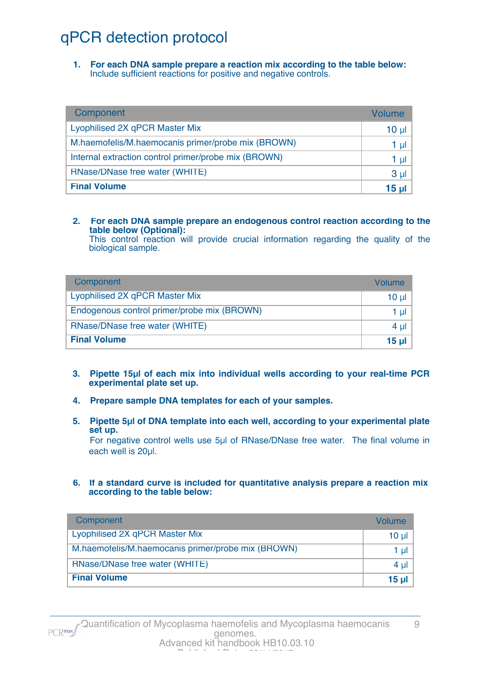# qPCR detection protocol

**1. For each DNA sample prepare a reaction mix according to the table below:** Include sufficient reactions for positive and negative controls.

| Component                                            | Volume          |
|------------------------------------------------------|-----------------|
| Lyophilised 2X qPCR Master Mix                       | 10 <sub>µ</sub> |
| M.haemofelis/M.haemocanis primer/probe mix (BROWN)   | 1 µl            |
| Internal extraction control primer/probe mix (BROWN) | 1 µl            |
| RNase/DNase free water (WHITE)                       | 3 <sub>µ</sub>  |
| <b>Final Volume</b>                                  | 15 ul           |

#### **2. For each DNA sample prepare an endogenous control reaction according to the table below (Optional):**

This control reaction will provide crucial information regarding the quality of the biological sample.

| Component                                   | Volume       |
|---------------------------------------------|--------------|
| Lyophilised 2X qPCR Master Mix              | 10 ul        |
| Endogenous control primer/probe mix (BROWN) | 1 ul         |
| RNase/DNase free water (WHITE)              | 4 ul         |
| <b>Final Volume</b>                         | <u>15 ul</u> |

- **3. Pipette 15µl of each mix into individual wells according to your real-time PCR experimental plate set up.**
- **4. Prepare sample DNA templates for each of your samples.**
- **5. Pipette 5µl of DNA template into each well, according to your experimental plate set up.**

For negative control wells use 5µl of RNase/DNase free water. The final volume in each well is 20µl.

**6. If a standard curve is included for quantitative analysis prepare a reaction mix according to the table below:**

| Component                                          | Volume   |
|----------------------------------------------------|----------|
| Lyophilised 2X qPCR Master Mix                     | $10 \mu$ |
| M.haemofelis/M.haemocanis primer/probe mix (BROWN) | 1 µl     |
| RNase/DNase free water (WHITE)                     | 4 $\mu$  |
| <b>Final Volume</b>                                | $15 \mu$ |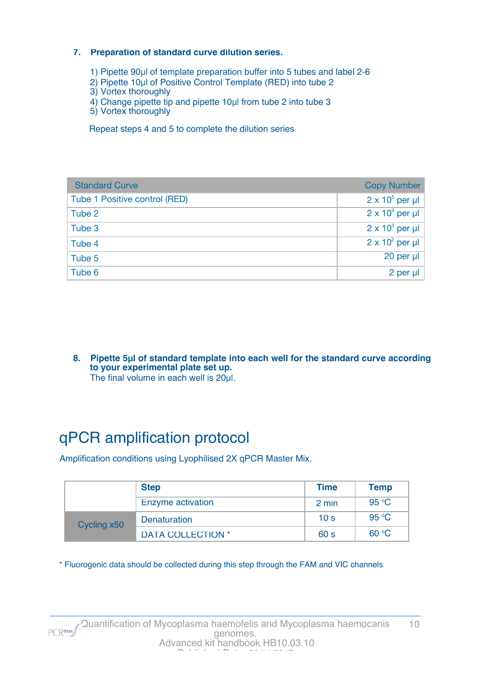#### **7. Preparation of standard curve dilution series.**

- 1) Pipette 90µl of template preparation buffer into 5 tubes and label 2-6
- 2) Pipette 10µl of Positive Control Template (RED) into tube 2
- 3) Vortex thoroughly
- 4) Change pipette tip and pipette 10µl from tube 2 into tube 3
- 5) Vortex thoroughly

Repeat steps 4 and 5 to complete the dilution series

| <b>Standard Curve</b>         | <b>Copy Number</b>     |
|-------------------------------|------------------------|
| Tube 1 Positive control (RED) | $2 \times 10^5$ per µl |
| Tube 2                        | $2 \times 10^4$ per µl |
| Tube 3                        | $2 \times 10^3$ per µl |
| Tube 4                        | $2 \times 10^2$ per µl |
| Tube 5                        | 20 per µl              |
| Tube 6                        | 2 per µl               |

**8. Pipette 5µl of standard template into each well for the standard curve according to your experimental plate set up.** The final volume in each well is 20µl.

# qPCR amplification protocol

Amplification conditions using Lyophilised 2X qPCR Master Mix.

|             | <b>Step</b>              | <b>Time</b>     | <b>Temp</b> |
|-------------|--------------------------|-----------------|-------------|
|             | Enzyme activation        | 2 min           | 95 °C       |
| Cycling x50 | Denaturation             | 10 <sub>s</sub> | 95 °C       |
|             | <b>DATA COLLECTION *</b> | 60 <sub>s</sub> | 60 °C       |

\* Fluorogenic data should be collected during this step through the FAM and VIC channels

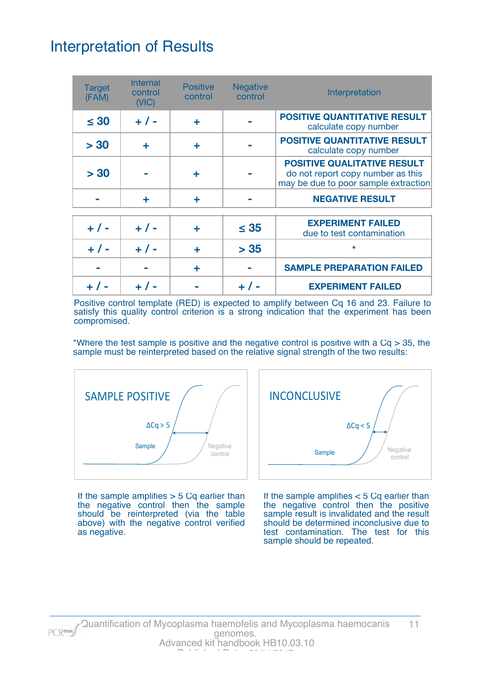## Interpretation of Results

| <b>Target</b><br>(FAM) | <b>Internal</b><br>control<br>(VIC) | <b>Positive</b><br>control | <b>Negative</b><br>control | Interpretation                                                                                                  |
|------------------------|-------------------------------------|----------------------------|----------------------------|-----------------------------------------------------------------------------------------------------------------|
| $\leq 30$              | $+ 1 -$                             | ÷                          |                            | <b>POSITIVE QUANTITATIVE RESULT</b><br>calculate copy number                                                    |
| > 30                   | ÷                                   | ÷                          |                            | <b>POSITIVE QUANTITATIVE RESULT</b><br>calculate copy number                                                    |
| > 30                   |                                     | ٠                          |                            | <b>POSITIVE QUALITATIVE RESULT</b><br>do not report copy number as this<br>may be due to poor sample extraction |
|                        | ÷                                   | ÷                          |                            | <b>NEGATIVE RESULT</b>                                                                                          |
| $+ 1 -$                | $+ 1 -$                             |                            | $\leq 35$                  | <b>EXPERIMENT FAILED</b><br>due to test contamination                                                           |
| $+ 1 -$                | $+ 1 -$                             | ÷                          | > 35                       | $\star$                                                                                                         |
|                        |                                     | ÷                          |                            | <b>SAMPLE PREPARATION FAILED</b>                                                                                |
|                        |                                     |                            |                            | <b>EXPERIMENT FAILED</b>                                                                                        |

Positive control template (RED) is expected to amplify between Cq 16 and 23. Failure to satisfy this quality control criterion is a strong indication that the experiment has been compromised.

\*Where the test sample is positive and the negative control is positive with a  $Cq > 35$ , the sample must be reinterpreted based on the relative signal strength of the two results:



If the sample amplifies  $> 5$  Cq earlier than the negative control then the sample should be reinterpreted (via the table above) with the negative control verified as negative.



If the sample amplifies < 5 Cq earlier than the negative control then the positive sample result is invalidated and the result should be determined inconclusive due to test contamination. The test for this sample should be repeated.

PCR<sub>max</sub>